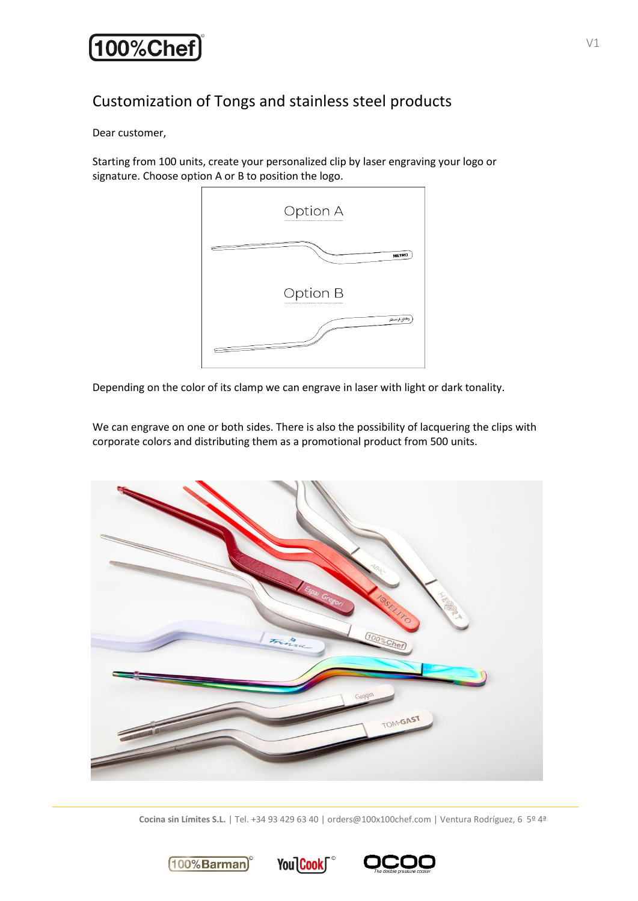# Customization of Tongs and stainless steel products

Dear customer,

Starting from 100 units, create your personalized clip by laser engraving your logo or signature. Choose option A or B to position the logo.



Depending on the color of its clamp we can engrave in laser with light or dark tonality.

We can engrave on one or both sides. There is also the possibility of lacquering the clips with corporate colors and distributing them as a promotional product from 500 units.



**Cocina sin Límites S.L.** | Tel. +34 93 429 63 40 | orders@100x100chef.com | Ventura Rodríguez, 6 5º 4ª

You Cook